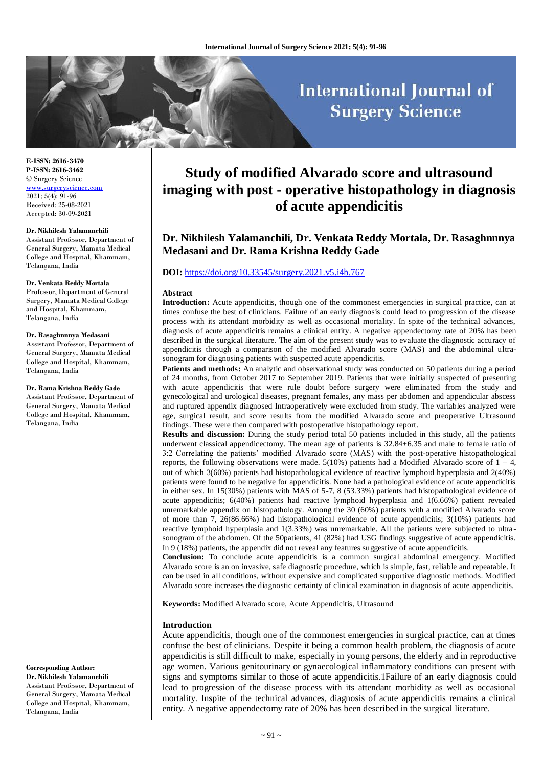# **International Journal of Surgery Science**

**E-ISSN: 2616-3470 P-ISSN: 2616-3462** © Surgery Science [www.surgeryscience.com](http://www.surgeryscience.com/) 2021; 5(4): 91-96 Received: 25-08-2021 Accepted: 30-09-2021

#### **Dr. Nikhilesh Yalamanchili**

Assistant Professor, Department of General Surgery, Mamata Medical College and Hospital, Khammam, Telangana, India

#### **Dr. Venkata Reddy Mortala**

Professor, Department of General Surgery, Mamata Medical College and Hospital, Khammam, Telangana, India

#### **Dr. Rasaghnnnya Medasani**

Assistant Professor, Department of General Surgery, Mamata Medical College and Hospital, Khammam, Telangana, India

#### **Dr. Rama Krishna Reddy Gade**

Assistant Professor, Department of General Surgery, Mamata Medical College and Hospital, Khammam, Telangana, India

**Corresponding Author: Dr. Nikhilesh Yalamanchili**

Assistant Professor, Department of General Surgery, Mamata Medical College and Hospital, Khammam, Telangana, India

# **Study of modified Alvarado score and ultrasound imaging with post - operative histopathology in diagnosis of acute appendicitis**

# **Dr. Nikhilesh Yalamanchili, Dr. Venkata Reddy Mortala, Dr. Rasaghnnnya Medasani and Dr. Rama Krishna Reddy Gade**

# **DOI:** <https://doi.org/10.33545/surgery.2021.v5.i4b.767>

#### **Abstract**

**Introduction:** Acute appendicitis, though one of the commonest emergencies in surgical practice, can at times confuse the best of clinicians. Failure of an early diagnosis could lead to progression of the disease process with its attendant morbidity as well as occasional mortality. In spite of the technical advances, diagnosis of acute appendicitis remains a clinical entity. A negative appendectomy rate of 20% has been described in the surgical literature. The aim of the present study was to evaluate the diagnostic accuracy of appendicitis through a comparison of the modified Alvarado score (MAS) and the abdominal ultrasonogram for diagnosing patients with suspected acute appendicitis.

Patients and methods: An analytic and observational study was conducted on 50 patients during a period of 24 months, from October 2017 to September 2019. Patients that were initially suspected of presenting with acute appendicitis that were rule doubt before surgery were eliminated from the study and gynecological and urological diseases, pregnant females, any mass per abdomen and appendicular abscess and ruptured appendix diagnosed Intraoperatively were excluded from study. The variables analyzed were age, surgical result, and score results from the modified Alvarado score and preoperative Ultrasound findings. These were then compared with postoperative histopathology report.

**Results and discussion:** During the study period total 50 patients included in this study, all the patients underwent classical appendicectomy. The mean age of patients is 32.84±6.35 and male to female ratio of 3:2 Correlating the patients' modified Alvarado score (MAS) with the post-operative histopathological reports, the following observations were made.  $5(10%)$  patients had a Modified Alvarado score of  $1 - 4$ , out of which 3(60%) patients had histopathological evidence of reactive lymphoid hyperplasia and 2(40%) patients were found to be negative for appendicitis. None had a pathological evidence of acute appendicitis in either sex. In 15(30%) patients with MAS of 5-7, 8 (53.33%) patients had histopathological evidence of acute appendicitis; 6(40%) patients had reactive lymphoid hyperplasia and 1(6.66%) patient revealed unremarkable appendix on histopathology. Among the 30 (60%) patients with a modified Alvarado score of more than 7, 26(86.66%) had histopathological evidence of acute appendicitis; 3(10%) patients had reactive lymphoid hyperplasia and 1(3.33%) was unremarkable. All the patients were subjected to ultrasonogram of the abdomen. Of the 50patients, 41 (82%) had USG findings suggestive of acute appendicitis. In 9 (18%) patients, the appendix did not reveal any features suggestive of acute appendicitis.

**Conclusion:** To conclude acute appendicitis is a common surgical abdominal emergency. Modified Alvarado score is an on invasive, safe diagnostic procedure, which is simple, fast, reliable and repeatable. It can be used in all conditions, without expensive and complicated supportive diagnostic methods. Modified Alvarado score increases the diagnostic certainty of clinical examination in diagnosis of acute appendicitis.

**Keywords:** Modified Alvarado score, Acute Appendicitis, Ultrasound

#### **Introduction**

Acute appendicitis, though one of the commonest emergencies in surgical practice, can at times confuse the best of clinicians. Despite it being a common health problem, the diagnosis of acute appendicitis is still difficult to make, especially in young persons, the elderly and in reproductive age women. Various genitourinary or gynaecological inflammatory conditions can present with signs and symptoms similar to those of acute appendicitis.1Failure of an early diagnosis could lead to progression of the disease process with its attendant morbidity as well as occasional mortality. Inspite of the technical advances, diagnosis of acute appendicitis remains a clinical entity. A negative appendectomy rate of 20% has been described in the surgical literature.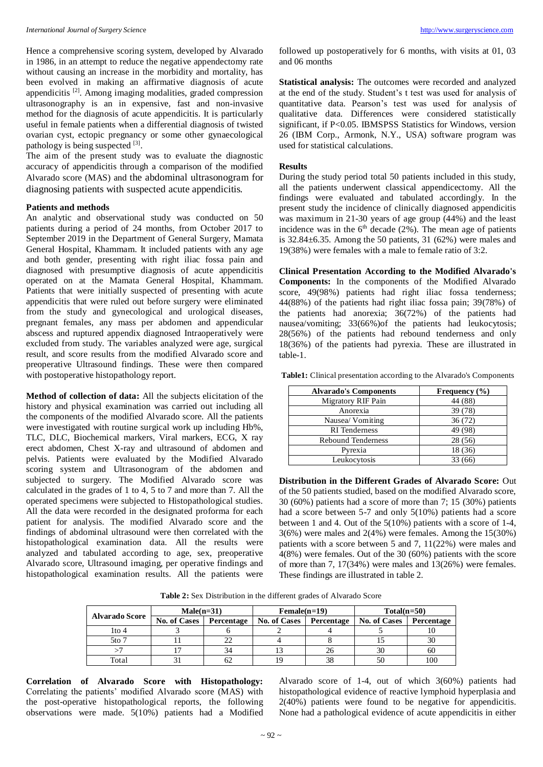Hence a comprehensive scoring system, developed by Alvarado in 1986, in an attempt to reduce the negative appendectomy rate without causing an increase in the morbidity and mortality, has been evolved in making an affirmative diagnosis of acute appendicitis<sup>[2]</sup>. Among imaging modalities, graded compression ultrasonography is an in expensive, fast and non-invasive method for the diagnosis of acute appendicitis. It is particularly useful in female patients when a differential diagnosis of twisted ovarian cyst, ectopic pregnancy or some other gynaecological pathology is being suspected [3].

The aim of the present study was to evaluate the diagnostic accuracy of appendicitis through a comparison of the modified Alvarado score (MAS) and the abdominal ultrasonogram for diagnosing patients with suspected acute appendicitis.

# **Patients and methods**

An analytic and observational study was conducted on 50 patients during a period of 24 months, from October 2017 to September 2019 in the Department of General Surgery, Mamata General Hospital, Khammam. It included patients with any age and both gender, presenting with right iliac fossa pain and diagnosed with presumptive diagnosis of acute appendicitis operated on at the Mamata General Hospital, Khammam. Patients that were initially suspected of presenting with acute appendicitis that were ruled out before surgery were eliminated from the study and gynecological and urological diseases, pregnant females, any mass per abdomen and appendicular abscess and ruptured appendix diagnosed Intraoperatively were excluded from study. The variables analyzed were age, surgical result, and score results from the modified Alvarado score and preoperative Ultrasound findings. These were then compared with postoperative histopathology report.

**Method of collection of data:** All the subjects elicitation of the history and physical examination was carried out including all the components of the modified Alvarado score. All the patients were investigated with routine surgical work up including Hb%, TLC, DLC, Biochemical markers, Viral markers, ECG, X ray erect abdomen, Chest X-ray and ultrasound of abdomen and pelvis. Patients were evaluated by the Modified Alvarado scoring system and Ultrasonogram of the abdomen and subjected to surgery. The Modified Alvarado score was calculated in the grades of 1 to 4, 5 to 7 and more than 7. All the operated specimens were subjected to Histopathological studies. All the data were recorded in the designated proforma for each patient for analysis. The modified Alvarado score and the findings of abdominal ultrasound were then correlated with the histopathological examination data. All the results were analyzed and tabulated according to age, sex, preoperative Alvarado score, Ultrasound imaging, per operative findings and histopathological examination results. All the patients were

followed up postoperatively for 6 months, with visits at 01, 03 and 06 months

**Statistical analysis:** The outcomes were recorded and analyzed at the end of the study. Student's t test was used for analysis of quantitative data. Pearson's test was used for analysis of qualitative data. Differences were considered statistically significant, if P<0.05. IBMSPSS Statistics for Windows, version 26 (IBM Corp., Armonk, N.Y., USA) software program was used for statistical calculations.

#### **Results**

During the study period total 50 patients included in this study, all the patients underwent classical appendicectomy. All the findings were evaluated and tabulated accordingly. In the present study the incidence of clinically diagnosed appendicitis was maximum in 21-30 years of age group (44%) and the least incidence was in the  $6<sup>th</sup>$  decade (2%). The mean age of patients is  $32.84 \pm 6.35$ . Among the 50 patients, 31 (62%) were males and 19(38%) were females with a male to female ratio of 3:2.

**Clinical Presentation According to the Modified Alvarado's Components:** In the components of the Modified Alvarado score, 49(98%) patients had right iliac fossa tenderness; 44(88%) of the patients had right iliac fossa pain; 39(78%) of the patients had anorexia; 36(72%) of the patients had nausea/vomiting; 33(66%)of the patients had leukocytosis; 28(56%) of the patients had rebound tenderness and only 18(36%) of the patients had pyrexia. These are illustrated in table-1.

**Table1:** Clinical presentation according to the Alvarado's Components

| <b>Alvarado's Components</b> | Frequency $(\% )$ |
|------------------------------|-------------------|
| <b>Migratory RIF Pain</b>    | 44 (88)           |
| Anorexia                     | 39 (78)           |
| Nausea/Vomiting              | 36(72)            |
| <b>RI</b> Tenderness         | 49 (98)           |
| <b>Rebound Tenderness</b>    | 28 (56)           |
| Pyrexia                      | 18 (36)           |
| Leukocytosis                 | 33 (66)           |

**Distribution in the Different Grades of Alvarado Score:** Out of the 50 patients studied, based on the modified Alvarado score, 30 (60%) patients had a score of more than 7; 15 (30%) patients had a score between 5-7 and only 5(10%) patients had a score between 1 and 4. Out of the 5(10%) patients with a score of 1-4, 3(6%) were males and 2(4%) were females. Among the 15(30%) patients with a score between 5 and 7, 11(22%) were males and 4(8%) were females. Out of the 30 (60%) patients with the score of more than 7, 17(34%) were males and 13(26%) were females. These findings are illustrated in table 2.

**Table 2:** Sex Distribution in the different grades of Alvarado Score

| <b>Alvarado Score</b> | $Male(n=31)$        |            | $Female(n=19)$      |            | $Total(n=50)$       |            |
|-----------------------|---------------------|------------|---------------------|------------|---------------------|------------|
|                       | <b>No. of Cases</b> | Percentage | <b>No. of Cases</b> | Percentage | <b>No. of Cases</b> | Percentage |
| 1to 4                 |                     |            |                     |            |                     |            |
| $5t0$ 7               |                     | 22         |                     |            |                     | 30         |
|                       |                     | 34         |                     | 26         | 30                  | 60         |
| Total                 |                     | 62         | 10                  | 38         | 50                  | 100        |

**Correlation of Alvarado Score with Histopathology:** Correlating the patients' modified Alvarado score (MAS) with the post-operative histopathological reports, the following observations were made. 5(10%) patients had a Modified Alvarado score of 1-4, out of which 3(60%) patients had histopathological evidence of reactive lymphoid hyperplasia and 2(40%) patients were found to be negative for appendicitis. None had a pathological evidence of acute appendicitis in either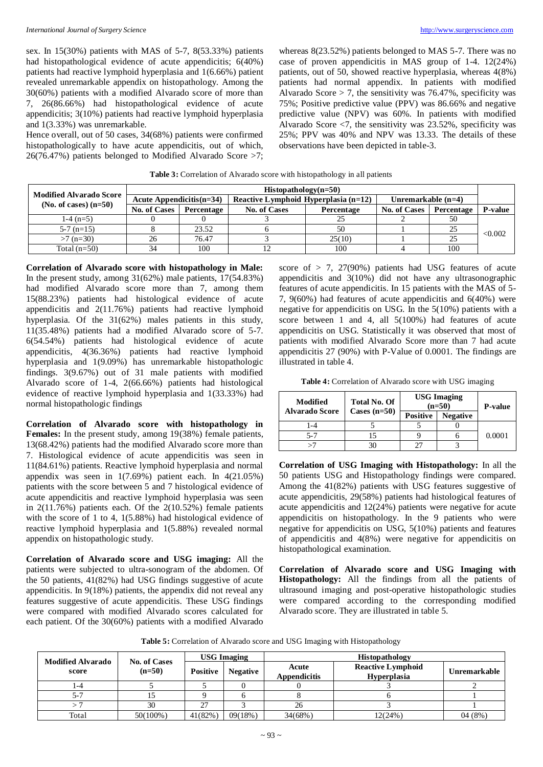sex. In 15(30%) patients with MAS of 5-7, 8(53.33%) patients had histopathological evidence of acute appendicitis; 6(40%) patients had reactive lymphoid hyperplasia and 1(6.66%) patient revealed unremarkable appendix on histopathology. Among the 30(60%) patients with a modified Alvarado score of more than 7, 26(86.66%) had histopathological evidence of acute appendicitis; 3(10%) patients had reactive lymphoid hyperplasia and 1(3.33%) was unremarkable.

Hence overall, out of 50 cases, 34(68%) patients were confirmed histopathologically to have acute appendicitis, out of which, 26(76.47%) patients belonged to Modified Alvarado Score >7; whereas 8(23.52%) patients belonged to MAS 5-7. There was no case of proven appendicitis in MAS group of 1-4. 12(24%) patients, out of 50, showed reactive hyperplasia, whereas 4(8%) patients had normal appendix. In patients with modified Alvarado Score  $> 7$ , the sensitivity was 76.47%, specificity was 75%; Positive predictive value (PPV) was 86.66% and negative predictive value (NPV) was 60%. In patients with modified Alvarado Score  $\leq$ 7, the sensitivity was 23.52%, specificity was 25%; PPV was 40% and NPV was 13.33. The details of these observations have been depicted in table-3.

| <b>Modified Alvarado Score</b> | $Historathology(n=50)$                                              |            |                     |            |                      |            |                |
|--------------------------------|---------------------------------------------------------------------|------------|---------------------|------------|----------------------|------------|----------------|
|                                | Acute Appendicitis $(n=34)$<br>Reactive Lymphoid Hyperplasia (n=12) |            |                     |            | Unremarkable $(n=4)$ |            |                |
| $(No. of cases) (n=50)$        | <b>No. of Cases</b>                                                 | Percentage | <b>No. of Cases</b> | Percentage | <b>No. of Cases</b>  | Percentage | <b>P-value</b> |
| $1-4$ (n=5)                    |                                                                     |            |                     |            |                      | 50         |                |
| $5-7$ (n=15)                   |                                                                     | 23.52      |                     | 50         |                      | 25         | < 0.002        |
| $>7$ (n=30)                    | 26                                                                  | 76.47      |                     | 25(10)     |                      | 25         |                |
| Total $(n=50)$                 | 34                                                                  | 100        |                     | 100        |                      | 100        |                |

**Table 3:** Correlation of Alvarado score with histopathology in all patients

**Correlation of Alvarado score with histopathology in Male:** In the present study, among  $31(62%)$  male patients,  $17(54.83%)$ had modified Alvarado score more than 7, among them 15(88.23%) patients had histological evidence of acute appendicitis and 2(11.76%) patients had reactive lymphoid hyperplasia. Of the 31(62%) males patients in this study, 11(35.48%) patients had a modified Alvarado score of 5-7. 6(54.54%) patients had histological evidence of acute appendicitis, 4(36.36%) patients had reactive lymphoid hyperplasia and 1(9.09%) has unremarkable histopathologic findings. 3(9.67%) out of 31 male patients with modified Alvarado score of 1-4, 2(66.66%) patients had histological evidence of reactive lymphoid hyperplasia and 1(33.33%) had normal histopathologic findings

**Correlation of Alvarado score with histopathology in Females:** In the present study, among 19(38%) female patients, 13(68.42%) patients had the modified Alvarado score more than 7. Histological evidence of acute appendicitis was seen in 11(84.61%) patients. Reactive lymphoid hyperplasia and normal appendix was seen in  $1(7.69%)$  patient each. In  $4(21.05%)$ patients with the score between 5 and 7 histological evidence of acute appendicitis and reactive lymphoid hyperplasia was seen in  $2(11.76%)$  patients each. Of the  $2(10.52%)$  female patients with the score of 1 to 4, 1(5.88%) had histological evidence of reactive lymphoid hyperplasia and 1(5.88%) revealed normal appendix on histopathologic study.

**Correlation of Alvarado score and USG imaging:** All the patients were subjected to ultra-sonogram of the abdomen. Of the 50 patients, 41(82%) had USG findings suggestive of acute appendicitis. In 9(18%) patients, the appendix did not reveal any features suggestive of acute appendicitis. These USG findings were compared with modified Alvarado scores calculated for each patient. Of the 30(60%) patients with a modified Alvarado

score of  $> 7$ , 27(90%) patients had USG features of acute appendicitis and 3(10%) did not have any ultrasonographic features of acute appendicitis. In 15 patients with the MAS of 5- 7, 9(60%) had features of acute appendicitis and 6(40%) were negative for appendicitis on USG. In the 5(10%) patients with a score between 1 and 4, all 5(100%) had features of acute appendicitis on USG. Statistically it was observed that most of patients with modified Alvarado Score more than 7 had acute appendicitis 27 (90%) with P-Value of 0.0001. The findings are illustrated in table 4.

**Table 4:** Correlation of Alvarado score with USG imaging

| Modified<br><b>Alvarado Score</b> | <b>USG Imaging</b><br><b>Total No. Of</b><br>$(n=50)$<br>Cases $(n=50)$ |                 | <b>P-value</b>  |        |
|-----------------------------------|-------------------------------------------------------------------------|-----------------|-----------------|--------|
|                                   |                                                                         | <b>Positive</b> | <b>Negative</b> |        |
| 1-4                               |                                                                         |                 |                 |        |
| $5 - 7$                           |                                                                         |                 |                 | 0.0001 |
|                                   |                                                                         |                 |                 |        |

**Correlation of USG Imaging with Histopathology:** In all the 50 patients USG and Histopathology findings were compared. Among the 41(82%) patients with USG features suggestive of acute appendicitis, 29(58%) patients had histological features of acute appendicitis and 12(24%) patients were negative for acute appendicitis on histopathology. In the 9 patients who were negative for appendicitis on USG, 5(10%) patients and features of appendicitis and 4(8%) were negative for appendicitis on histopathological examination.

**Correlation of Alvarado score and USG Imaging with Histopathology:** All the findings from all the patients of ultrasound imaging and post-operative histopathologic studies were compared according to the corresponding modified Alvarado score. They are illustrated in table 5.

| Table 5: Correlation of Alvarado score and USG Imaging with Histopathology |  |  |
|----------------------------------------------------------------------------|--|--|
|----------------------------------------------------------------------------|--|--|

| <b>Modified Alvarado</b><br><b>No. of Cases</b><br>$(n=50)$<br><b>Positive</b><br>score |             | <b>USG Imaging</b> |                              | <b>Histopathology</b>                          |              |        |
|-----------------------------------------------------------------------------------------|-------------|--------------------|------------------------------|------------------------------------------------|--------------|--------|
|                                                                                         |             | <b>Negative</b>    | Acute<br><b>Appendicitis</b> | <b>Reactive Lymphoid</b><br><b>Hyperplasia</b> | Unremarkable |        |
| 1-4                                                                                     |             |                    |                              |                                                |              |        |
| $5 - 7$                                                                                 |             |                    |                              |                                                |              |        |
|                                                                                         | 30          | 27                 |                              | 26                                             |              |        |
| Total                                                                                   | $50(100\%)$ | 41(82%)            | 09(18%)                      | 34(68%)                                        | 12(24%)      | 04(8%) |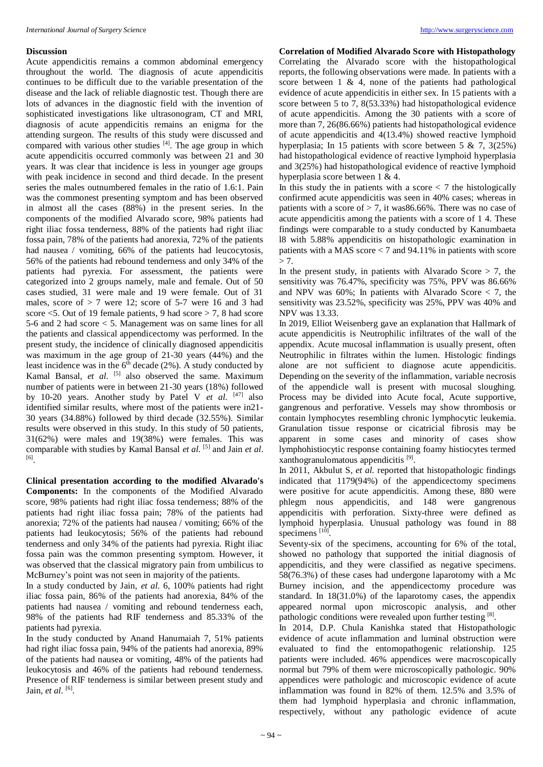#### **Discussion**

Acute appendicitis remains a common abdominal emergency throughout the world. The diagnosis of acute appendicitis continues to be difficult due to the variable presentation of the disease and the lack of reliable diagnostic test. Though there are lots of advances in the diagnostic field with the invention of sophisticated investigations like ultrasonogram, CT and MRI, diagnosis of acute appendicitis remains an enigma for the attending surgeon. The results of this study were discussed and compared with various other studies  $[4]$ . The age group in which acute appendicitis occurred commonly was between 21 and 30 years. It was clear that incidence is less in younger age groups with peak incidence in second and third decade. In the present series the males outnumbered females in the ratio of 1.6:1. Pain was the commonest presenting symptom and has been observed in almost all the cases (88%) in the present series. In the components of the modified Alvarado score, 98% patients had right iliac fossa tenderness, 88% of the patients had right iliac fossa pain, 78% of the patients had anorexia, 72% of the patients had nausea / vomiting, 66% of the patients had leucocytosis, 56% of the patients had rebound tenderness and only 34% of the patients had pyrexia. For assessment, the patients were categorized into 2 groups namely, male and female. Out of 50 cases studied, 31 were male and 19 were female. Out of 31 males, score of  $> 7$  were 12; score of 5-7 were 16 and 3 had score <5. Out of 19 female patients, 9 had score > 7, 8 had score 5-6 and 2 had score < 5. Management was on same lines for all the patients and classical appendicectomy was performed. In the present study, the incidence of clinically diagnosed appendicitis was maximum in the age group of 21-30 years (44%) and the least incidence was in the  $6<sup>th</sup>$  decade (2%). A study conducted by Kamal Bansal, et al. <sup>[5]</sup> also observed the same. Maximum number of patients were in between 21-30 years (18%) followed by 10-20 years. Another study by Patel V *et al.* [47] also identified similar results, where most of the patients were in21- 30 years (34.88%) followed by third decade (32.55%). Similar results were observed in this study. In this study of 50 patients, 31(62%) were males and 19(38%) were females. This was comparable with studies by Kamal Bansal *et al.* [5] and Jain *et al*. [6] .

**Clinical presentation according to the modified Alvarado's Components:** In the components of the Modified Alvarado score, 98% patients had right iliac fossa tenderness; 88% of the patients had right iliac fossa pain; 78% of the patients had anorexia; 72% of the patients had nausea / vomiting; 66% of the patients had leukocytosis; 56% of the patients had rebound tenderness and only 34% of the patients had pyrexia. Right iliac fossa pain was the common presenting symptom. However, it was observed that the classical migratory pain from umbilicus to McBurney's point was not seen in majority of the patients.

In a study conducted by Jain, *et al.* 6, 100% patients had right iliac fossa pain, 86% of the patients had anorexia, 84% of the patients had nausea / vomiting and rebound tenderness each, 98% of the patients had RIF tenderness and 85.33% of the patients had pyrexia.

In the study conducted by Anand Hanumaiah 7, 51% patients had right iliac fossa pain, 94% of the patients had anorexia, 89% of the patients had nausea or vomiting, 48% of the patients had leukocytosis and 46% of the patients had rebound tenderness. Presence of RIF tenderness is similar between present study and Jain, *et al.* [6] .

**Correlation of Modified Alvarado Score with Histopathology** Correlating the Alvarado score with the histopathological reports, the following observations were made. In patients with a score between  $1 \& 4$ , none of the patients had pathological evidence of acute appendicitis in either sex. In 15 patients with a score between 5 to 7, 8(53.33%) had histopathological evidence of acute appendicitis. Among the 30 patients with a score of more than 7, 26(86.66%) patients had histopathological evidence of acute appendicitis and 4(13.4%) showed reactive lymphoid hyperplasia; In 15 patients with score between 5 & 7, 3(25%) had histopathological evidence of reactive lymphoid hyperplasia and 3(25%) had histopathological evidence of reactive lymphoid hyperplasia score between 1 & 4.

In this study the in patients with a score  $\lt$  7 the histologically confirmed acute appendicitis was seen in 40% cases; whereas in patients with a score of  $> 7$ , it was 86.66%. There was no case of acute appendicitis among the patients with a score of 1 4. These findings were comparable to a study conducted by Kanumbaeta l8 with 5.88% appendicitis on histopathologic examination in patients with a MAS score < 7 and 94.11% in patients with score  $> 7.$ 

In the present study, in patients with Alvarado Score  $> 7$ , the sensitivity was 76.47%, specificity was 75%, PPV was 86.66% and NPV was  $60\%$ ; In patients with Alvarado Score  $< 7$ , the sensitivity was 23.52%, specificity was 25%, PPV was 40% and NPV was 13.33.

In 2019, Elliot Weisenberg gave an explanation that Hallmark of acute appendicitis is Neutrophilic infiltrates of the wall of the appendix. Acute mucosal inflammation is usually present, often Neutrophilic in filtrates within the lumen. Histologic findings alone are not sufficient to diagnose acute appendicitis. Depending on the severity of the inflammation, variable necrosis of the appendicle wall is present with mucosal sloughing. Process may be divided into Acute focal, Acute supportive, gangrenous and perforative. Vessels may show thrombosis or contain lymphocytes resembling chronic lymphocytic leukemia. Granulation tissue response or cicatricial fibrosis may be apparent in some cases and minority of cases show lymphohistiocytic response containing foamy histiocytes termed xanthogranulomatous appendicitis<sup>[9]</sup>.

In 2011, Akbulut S, *et al.* reported that histopathologic findings indicated that 1179(94%) of the appendicectomy specimens were positive for acute appendicitis. Among these, 880 were phlegm nous appendicitis, and 148 were gangrenous appendicitis with perforation. Sixty-three were defined as lymphoid hyperplasia. Unusual pathology was found in 88 specimens<sup>[10]</sup>.

Seventy-six of the specimens, accounting for 6% of the total, showed no pathology that supported the initial diagnosis of appendicitis, and they were classified as negative specimens. 58(76.3%) of these cases had undergone laparotomy with a Mc Burney incision, and the appendicectomy procedure was standard. In 18(31.0%) of the laparotomy cases, the appendix appeared normal upon microscopic analysis, and other pathologic conditions were revealed upon further testing [8].

In 2014, D.P. Chula Kanishka stated that Histopathologic evidence of acute inflammation and luminal obstruction were evaluated to find the entomopathogenic relationship. 125 patients were included. 46% appendices were macroscopically normal but 79% of them were microscopically pathologic. 90% appendices were pathologic and microscopic evidence of acute inflammation was found in 82% of them. 12.5% and 3.5% of them had lymphoid hyperplasia and chronic inflammation, respectively, without any pathologic evidence of acute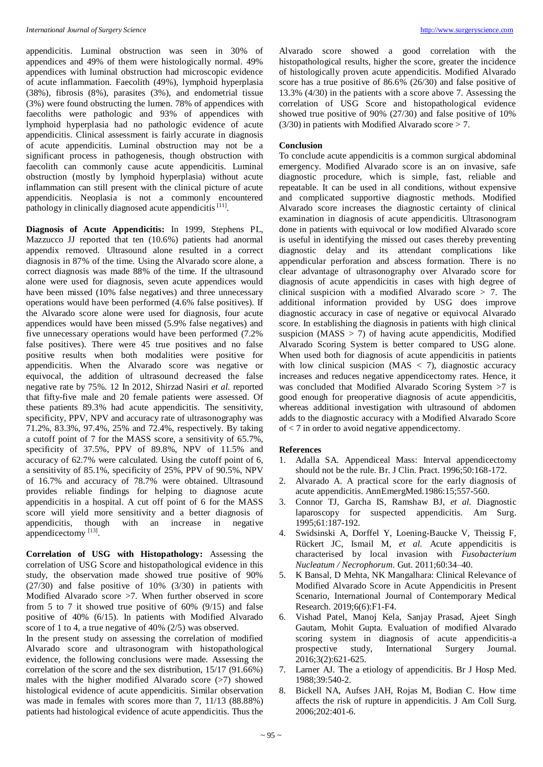appendicitis. Luminal obstruction was seen in 30% of appendices and 49% of them were histologically normal. 49% appendices with luminal obstruction had microscopic evidence of acute inflammation. Faecolith (49%), lymphoid hyperplasia (38%), fibrosis (8%), parasites (3%), and endometrial tissue (3%) were found obstructing the lumen. 78% of appendices with faecoliths were pathologic and 93% of appendices with lymphoid hyperplasia had no pathologic evidence of acute appendicitis. Clinical assessment is fairly accurate in diagnosis of acute appendicitis. Luminal obstruction may not be a significant process in pathogenesis, though obstruction with faecolith can commonly cause acute appendicitis. Luminal obstruction (mostly by lymphoid hyperplasia) without acute inflammation can still present with the clinical picture of acute appendicitis. Neoplasia is not a commonly encountered pathology in clinically diagnosed acute appendicitis [11].

**Diagnosis of Acute Appendicitis:** In 1999, Stephens PL, Mazzucco JJ reported that ten (10.6%) patients had anormal appendix removed. Ultrasound alone resulted in a correct diagnosis in 87% of the time. Using the Alvarado score alone, a correct diagnosis was made 88% of the time. If the ultrasound alone were used for diagnosis, seven acute appendices would have been missed (10% false negatives) and three unnecessary operations would have been performed (4.6% false positives). If the Alvarado score alone were used for diagnosis, four acute appendices would have been missed (5.9% false negatives) and five unnecessary operations would have been performed (7.2% false positives). There were 45 true positives and no false positive results when both modalities were positive for appendicitis. When the Alvarado score was negative or equivocal, the addition of ultrasound decreased the false negative rate by 75%. 12 In 2012, Shirzad Nasiri *et al.* reported that fifty-five male and 20 female patients were assessed. Of these patients 89.3% had acute appendicitis. The sensitivity, specificity, PPV, NPV and accuracy rate of ultrasonography was 71.2%, 83.3%, 97.4%, 25% and 72.4%, respectively. By taking a cutoff point of 7 for the MASS score, a sensitivity of 65.7%, specificity of 37.5%, PPV of 89.8%, NPV of 11.5% and accuracy of 62.7% were calculated. Using the cutoff point of 6, a sensitivity of 85.1%, specificity of 25%, PPV of 90.5%, NPV of 16.7% and accuracy of 78.7% were obtained. Ultrasound provides reliable findings for helping to diagnose acute appendicitis in a hospital. A cut off point of 6 for the MASS score will yield more sensitivity and a better diagnosis of appendicitis, though with an increase in negative appendicectomy<sup>[13]</sup>.

**Correlation of USG with Histopathology:** Assessing the correlation of USG Score and histopathological evidence in this study, the observation made showed true positive of 90% (27/30) and false positive of 10% (3/30) in patients with Modified Alvarado score >7. When further observed in score from 5 to 7 it showed true positive of 60% (9/15) and false positive of 40% (6/15). In patients with Modified Alvarado score of 1 to 4, a true negative of 40% (2/5) was observed.

In the present study on assessing the correlation of modified Alvarado score and ultrasonogram with histopathological evidence, the following conclusions were made. Assessing the correlation of the score and the sex distribution, 15/17 (91.66%) males with the higher modified Alvarado score (>7) showed histological evidence of acute appendicitis. Similar observation was made in females with scores more than 7, 11/13 (88.88%) patients had histological evidence of acute appendicitis. Thus the

Alvarado score showed a good correlation with the histopathological results, higher the score, greater the incidence of histologically proven acute appendicitis. Modified Alvarado score has a true positive of 86.6% (26/30) and false positive of 13.3% (4/30) in the patients with a score above 7. Assessing the correlation of USG Score and histopathological evidence showed true positive of 90% (27/30) and false positive of 10%  $(3/30)$  in patients with Modified Alvarado score  $> 7$ .

# **Conclusion**

To conclude acute appendicitis is a common surgical abdominal emergency. Modified Alvarado score is an on invasive, safe diagnostic procedure, which is simple, fast, reliable and repeatable. It can be used in all conditions, without expensive and complicated supportive diagnostic methods. Modified Alvarado score increases the diagnostic certainty of clinical examination in diagnosis of acute appendicitis. Ultrasonogram done in patients with equivocal or low modified Alvarado score is useful in identifying the missed out cases thereby preventing diagnostic delay and its attendant complications like appendicular perforation and abscess formation. There is no clear advantage of ultrasonography over Alvarado score for diagnosis of acute appendicitis in cases with high degree of clinical suspicion with a modified Alvarado score > 7. The additional information provided by USG does improve diagnostic accuracy in case of negative or equivocal Alvarado score. In establishing the diagnosis in patients with high clinical suspicion (MASS  $>$  7) of having acute appendicitis, Modified Alvarado Scoring System is better compared to USG alone. When used both for diagnosis of acute appendicitis in patients with low clinical suspicion ( $MAS < 7$ ), diagnostic accuracy increases and reduces negative appendicectomy rates. Hence, it was concluded that Modified Alvarado Scoring System >7 is good enough for preoperative diagnosis of acute appendicitis, whereas additional investigation with ultrasound of abdomen adds to the diagnostic accuracy with a Modified Alvarado Score of < 7 in order to avoid negative appendicectomy.

# **References**

- 1. Adalla SA. Appendiceal Mass: Interval appendicectomy should not be the rule. Br. J Clin. Pract. 1996;50:168-172.
- 2. Alvarado A. A practical score for the early diagnosis of acute appendicitis. AnnEmergMed.1986:15;557-560.
- 3. Connor TJ, Garcha IS, Ramshaw BJ, *et al.* Diagnostic laparoscopy for suspected appendicitis. Am Surg. 1995;61:187-192.
- 4. Swidsinski A, Dorffel Y, Loening-Baucke V, Theissig F, Rückert JC, Ismail M, *et al.* Acute appendicitis is characterised by local invasion with *Fusobacterium Nucleatum / Necrophorum*. Gut. 2011;60:34–40.
- 5. K Bansal, D Mehta, NK Mangalhara: Clinical Relevance of Modified Alvarado Score in Acute Appendicitis in Present Scenario, International Journal of Contemporary Medical Research. 2019;6(6):F1-F4.
- 6. Vishad Patel, Manoj Kela, Sanjay Prasad, Ajeet Singh Gautam, Mohit Gupta. Evaluation of modified Alvarado scoring system in diagnosis of acute appendicitis-a prospective study, International Surgery Journal. 2016;3(2):621-625.
- 7. Larner AJ. The a etiology of appendicitis. Br J Hosp Med. 1988;39:540-2.
- 8. Bickell NA, Aufses JAH, Rojas M, Bodian C. How time affects the risk of rupture in appendicitis. J Am Coll Surg. 2006;202:401-6.